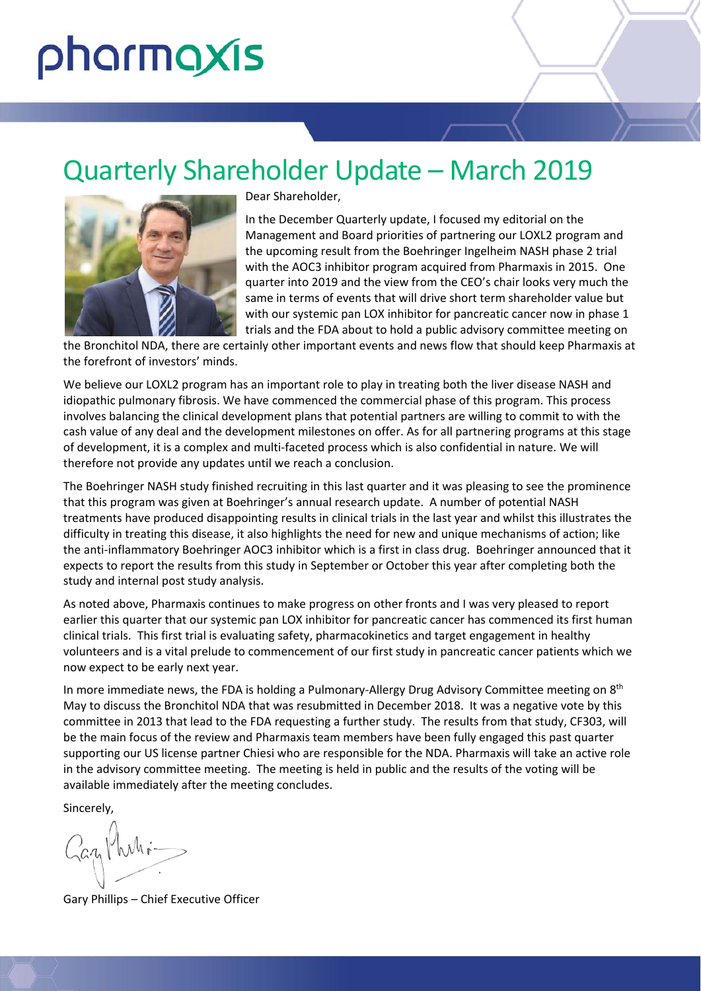# pharmaxis

# Quarterly Shareholder Update – March 2019



Dear Shareholder,

In the December Quarterly update, I focused my editorial on the Management and Board priorities of partnering our LOXL2 program and the upcoming result from the Boehringer Ingelheim NASH phase 2 trial with the AOC3 inhibitor program acquired from Pharmaxis in 2015. One quarter into 2019 and the view from the CEO's chair looks very much the same in terms of events that will drive short term shareholder value but with our systemic pan LOX inhibitor for pancreatic cancer now in phase 1 trials and the FDA about to hold a public advisory committee meeting on

the Bronchitol NDA, there are certainly other important events and news flow that should keep Pharmaxis at the forefront of investors' minds.

We believe our LOXL2 program has an important role to play in treating both the liver disease NASH and idiopathic pulmonary fibrosis. We have commenced the commercial phase of this program. This process involves balancing the clinical development plans that potential partners are willing to commit to with the cash value of any deal and the development milestones on offer. As for all partnering programs at this stage of development, it is a complex and multi‐faceted process which is also confidential in nature. We will therefore not provide any updates until we reach a conclusion.

The Boehringer NASH study finished recruiting in this last quarter and it was pleasing to see the prominence that this program was given at Boehringer's annual research update. A number of potential NASH treatments have produced disappointing results in clinical trials in the last year and whilst this illustrates the difficulty in treating this disease, it also highlights the need for new and unique mechanisms of action; like the anti-inflammatory Boehringer AOC3 inhibitor which is a first in class drug. Boehringer announced that it expects to report the results from this study in September or October this year after completing both the study and internal post study analysis.

As noted above, Pharmaxis continues to make progress on other fronts and I was very pleased to report earlier this quarter that our systemic pan LOX inhibitor for pancreatic cancer has commenced its first human clinical trials. This first trial is evaluating safety, pharmacokinetics and target engagement in healthy volunteers and is a vital prelude to commencement of our first study in pancreatic cancer patients which we now expect to be early next year.

In more immediate news, the FDA is holding a Pulmonary-Allergy Drug Advisory Committee meeting on 8<sup>th</sup> May to discuss the Bronchitol NDA that was resubmitted in December 2018. It was a negative vote by this committee in 2013 that lead to the FDA requesting a further study. The results from that study, CF303, will be the main focus of the review and Pharmaxis team members have been fully engaged this past quarter supporting our US license partner Chiesi who are responsible for the NDA. Pharmaxis will take an active role in the advisory committee meeting. The meeting is held in public and the results of the voting will be available immediately after the meeting concludes.

Sincerely,

Zaz Mirhi

Gary Phillips – Chief Executive Officer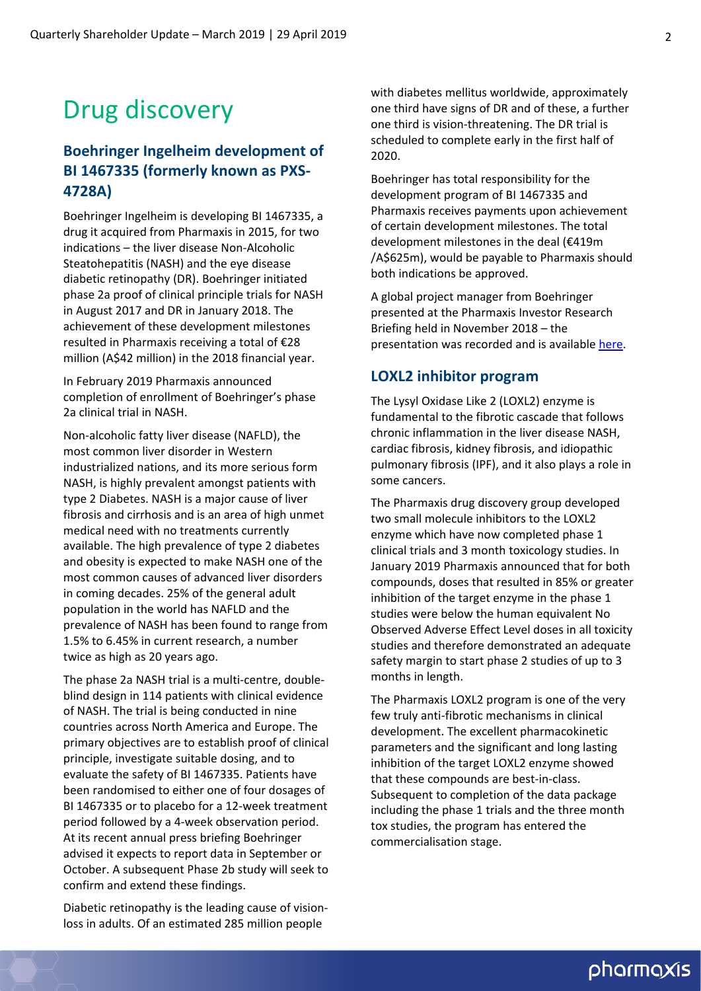# Drug discovery

### **Boehringer Ingelheim development of BI 1467335 (formerly known as PXS‐ 4728A)**

Boehringer Ingelheim is developing BI 1467335, a drug it acquired from Pharmaxis in 2015, for two indications – the liver disease Non‐Alcoholic Steatohepatitis (NASH) and the eye disease diabetic retinopathy (DR). Boehringer initiated phase 2a proof of clinical principle trials for NASH in August 2017 and DR in January 2018. The achievement of these development milestones resulted in Pharmaxis receiving a total of €28 million (A\$42 million) in the 2018 financial year.

In February 2019 Pharmaxis announced completion of enrollment of Boehringer's phase 2a clinical trial in NASH.

Non‐alcoholic fatty liver disease (NAFLD), the most common liver disorder in Western industrialized nations, and its more serious form NASH, is highly prevalent amongst patients with type 2 Diabetes. NASH is a major cause of liver fibrosis and cirrhosis and is an area of high unmet medical need with no treatments currently available. The high prevalence of type 2 diabetes and obesity is expected to make NASH one of the most common causes of advanced liver disorders in coming decades. 25% of the general adult population in the world has NAFLD and the prevalence of NASH has been found to range from 1.5% to 6.45% in current research, a number twice as high as 20 years ago.

The phase 2a NASH trial is a multi‐centre, double‐ blind design in 114 patients with clinical evidence of NASH. The trial is being conducted in nine countries across North America and Europe. The primary objectives are to establish proof of clinical principle, investigate suitable dosing, and to evaluate the safety of BI 1467335. Patients have been randomised to either one of four dosages of BI 1467335 or to placebo for a 12‐week treatment period followed by a 4‐week observation period. At its recent annual press briefing Boehringer advised it expects to report data in September or October. A subsequent Phase 2b study will seek to confirm and extend these findings.

Diabetic retinopathy is the leading cause of vision‐ loss in adults. Of an estimated 285 million people

with diabetes mellitus worldwide, approximately one third have signs of DR and of these, a further one third is vision‐threatening. The DR trial is scheduled to complete early in the first half of 2020.

Boehringer has total responsibility for the development program of BI 1467335 and Pharmaxis receives payments upon achievement of certain development milestones. The total development milestones in the deal (€419m /A\$625m), would be payable to Pharmaxis should both indications be approved.

A global project manager from Boehringer presented at the Pharmaxis Investor Research Briefing held in November 2018 – the presentation was recorded and is available [here](http://www.pharmaxis.com.au/investor-centre/news/view/pharmaxis-investor-reserach-briefing-20-november-2018).

### **LOXL2 inhibitor program**

The Lysyl Oxidase Like 2 (LOXL2) enzyme is fundamental to the fibrotic cascade that follows chronic inflammation in the liver disease NASH, cardiac fibrosis, kidney fibrosis, and idiopathic pulmonary fibrosis (IPF), and it also plays a role in some cancers.

The Pharmaxis drug discovery group developed two small molecule inhibitors to the LOXL2 enzyme which have now completed phase 1 clinical trials and 3 month toxicology studies. In January 2019 Pharmaxis announced that for both compounds, doses that resulted in 85% or greater inhibition of the target enzyme in the phase 1 studies were below the human equivalent No Observed Adverse Effect Level doses in all toxicity studies and therefore demonstrated an adequate safety margin to start phase 2 studies of up to 3 months in length.

The Pharmaxis LOXL2 program is one of the very few truly anti‐fibrotic mechanisms in clinical development. The excellent pharmacokinetic parameters and the significant and long lasting inhibition of the target LOXL2 enzyme showed that these compounds are best‐in‐class. Subsequent to completion of the data package including the phase 1 trials and the three month tox studies, the program has entered the commercialisation stage.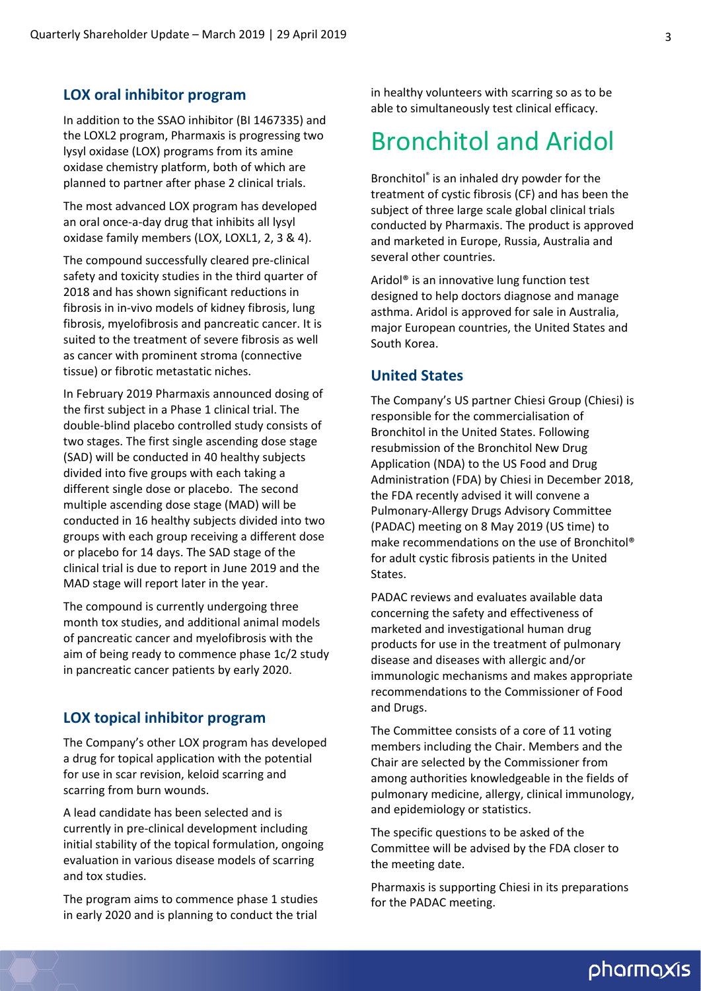### **LOX oral inhibitor program**

In addition to the SSAO inhibitor (BI 1467335) and the LOXL2 program, Pharmaxis is progressing two lysyl oxidase (LOX) programs from its amine oxidase chemistry platform, both of which are planned to partner after phase 2 clinical trials.

The most advanced LOX program has developed an oral once‐a‐day drug that inhibits all lysyl oxidase family members (LOX, LOXL1, 2, 3 & 4).

The compound successfully cleared pre‐clinical safety and toxicity studies in the third quarter of 2018 and has shown significant reductions in fibrosis in in‐vivo models of kidney fibrosis, lung fibrosis, myelofibrosis and pancreatic cancer. It is suited to the treatment of severe fibrosis as well as cancer with prominent stroma (connective tissue) or fibrotic metastatic niches.

In February 2019 Pharmaxis announced dosing of the first subject in a Phase 1 clinical trial. The double‐blind placebo controlled study consists of two stages. The first single ascending dose stage (SAD) will be conducted in 40 healthy subjects divided into five groups with each taking a different single dose or placebo. The second multiple ascending dose stage (MAD) will be conducted in 16 healthy subjects divided into two groups with each group receiving a different dose or placebo for 14 days. The SAD stage of the clinical trial is due to report in June 2019 and the MAD stage will report later in the year.

The compound is currently undergoing three month tox studies, and additional animal models of pancreatic cancer and myelofibrosis with the aim of being ready to commence phase 1c/2 study in pancreatic cancer patients by early 2020.

### **LOX topical inhibitor program**

The Company's other LOX program has developed a drug for topical application with the potential for use in scar revision, keloid scarring and scarring from burn wounds.

A lead candidate has been selected and is currently in pre‐clinical development including initial stability of the topical formulation, ongoing evaluation in various disease models of scarring and tox studies.

The program aims to commence phase 1 studies in early 2020 and is planning to conduct the trial

in healthy volunteers with scarring so as to be able to simultaneously test clinical efficacy.

## Bronchitol and Aridol

Bronchitol® is an inhaled dry powder for the treatment of cystic fibrosis (CF) and has been the subject of three large scale global clinical trials conducted by Pharmaxis. The product is approved and marketed in Europe, Russia, Australia and several other countries.

Aridol® is an innovative lung function test designed to help doctors diagnose and manage asthma. Aridol is approved for sale in Australia, major European countries, the United States and South Korea.

### **United States**

The Company's US partner Chiesi Group (Chiesi) is responsible for the commercialisation of Bronchitol in the United States. Following resubmission of the Bronchitol New Drug Application (NDA) to the US Food and Drug Administration (FDA) by Chiesi in December 2018, the FDA recently advised it will convene a Pulmonary‐Allergy Drugs Advisory Committee (PADAC) meeting on 8 May 2019 (US time) to make recommendations on the use of Bronchitol® for adult cystic fibrosis patients in the United States.

PADAC reviews and evaluates available data concerning the safety and effectiveness of marketed and investigational human drug products for use in the treatment of pulmonary disease and diseases with allergic and/or immunologic mechanisms and makes appropriate recommendations to the Commissioner of Food and Drugs.

The Committee consists of a core of 11 voting members including the Chair. Members and the Chair are selected by the Commissioner from among authorities knowledgeable in the fields of pulmonary medicine, allergy, clinical immunology, and epidemiology or statistics.

The specific questions to be asked of the Committee will be advised by the FDA closer to the meeting date.

Pharmaxis is supporting Chiesi in its preparations for the PADAC meeting.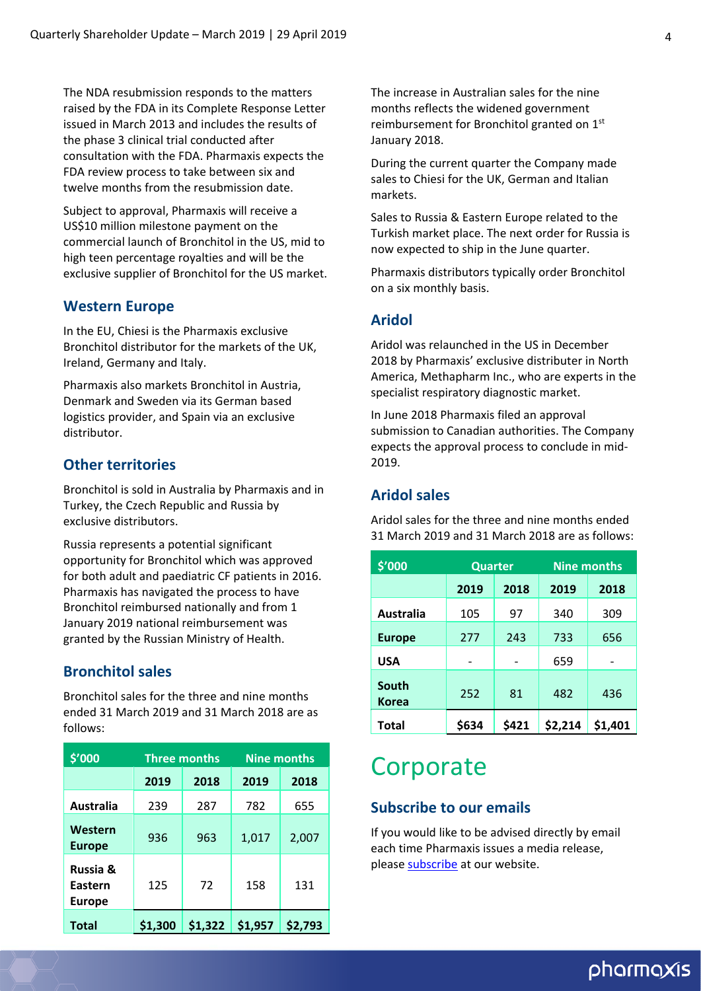The NDA resubmission responds to the matters raised by the FDA in its Complete Response Letter issued in March 2013 and includes the results of the phase 3 clinical trial conducted after consultation with the FDA. Pharmaxis expects the FDA review process to take between six and twelve months from the resubmission date.

Subject to approval, Pharmaxis will receive a US\$10 million milestone payment on the commercial launch of Bronchitol in the US, mid to high teen percentage royalties and will be the exclusive supplier of Bronchitol for the US market.

### **Western Europe**

In the EU, Chiesi is the Pharmaxis exclusive Bronchitol distributor for the markets of the UK, Ireland, Germany and Italy.

Pharmaxis also markets Bronchitol in Austria, Denmark and Sweden via its German based logistics provider, and Spain via an exclusive distributor.

### **Other territories**

Bronchitol is sold in Australia by Pharmaxis and in Turkey, the Czech Republic and Russia by exclusive distributors.

Russia represents a potential significant opportunity for Bronchitol which was approved for both adult and paediatric CF patients in 2016. Pharmaxis has navigated the process to have Bronchitol reimbursed nationally and from 1 January 2019 national reimbursement was granted by the Russian Ministry of Health.

### **Bronchitol sales**

Bronchitol sales for the three and nine months ended 31 March 2019 and 31 March 2018 are as follows:

| \$'000                               | <b>Three months</b> |         | <b>Nine months</b> |         |  |
|--------------------------------------|---------------------|---------|--------------------|---------|--|
|                                      | 2019<br>2018        |         | 2019               | 2018    |  |
| <b>Australia</b>                     | 239                 | 287     | 782                | 655     |  |
| Western<br><b>Europe</b>             | 936                 | 963     | 1,017              | 2,007   |  |
| Russia &<br>Eastern<br><b>Europe</b> | 125                 | 72      | 158                | 131     |  |
| <b>Total</b>                         | \$1,300             | \$1,322 | \$1,957            | \$2.793 |  |

The increase in Australian sales for the nine months reflects the widened government reimbursement for Bronchitol granted on 1<sup>st</sup> January 2018.

During the current quarter the Company made sales to Chiesi for the UK, German and Italian markets.

Sales to Russia & Eastern Europe related to the Turkish market place. The next order for Russia is now expected to ship in the June quarter.

Pharmaxis distributors typically order Bronchitol on a six monthly basis.

### **Aridol**

Aridol was relaunched in the US in December 2018 by Pharmaxis' exclusive distributer in North America, Methapharm Inc., who are experts in the specialist respiratory diagnostic market.

In June 2018 Pharmaxis filed an approval submission to Canadian authorities. The Company expects the approval process to conclude in mid‐ 2019.

### **Aridol sales**

Aridol sales for the three and nine months ended 31 March 2019 and 31 March 2018 are as follows:

| \$'000                | <b>Quarter</b> |       | <b>Nine months</b> |         |  |
|-----------------------|----------------|-------|--------------------|---------|--|
|                       | 2019           | 2018  | 2019               | 2018    |  |
| <b>Australia</b>      | 105            | 97    | 340                | 309     |  |
| <b>Europe</b>         | 277            | 243   | 733                | 656     |  |
| <b>USA</b>            |                |       | 659                |         |  |
| South<br><b>Korea</b> | 252            | 81    | 482                | 436     |  |
| <b>Total</b>          | \$634          | \$421 | \$2,214            | \$1,401 |  |

### **Corporate**

### **Subscribe to our emails**

If you would like to be advised directly by email each time Pharmaxis issues a media release, please [subscribe](http://www.pharmaxis.com.au/investor-centre/subscribe/) at our website.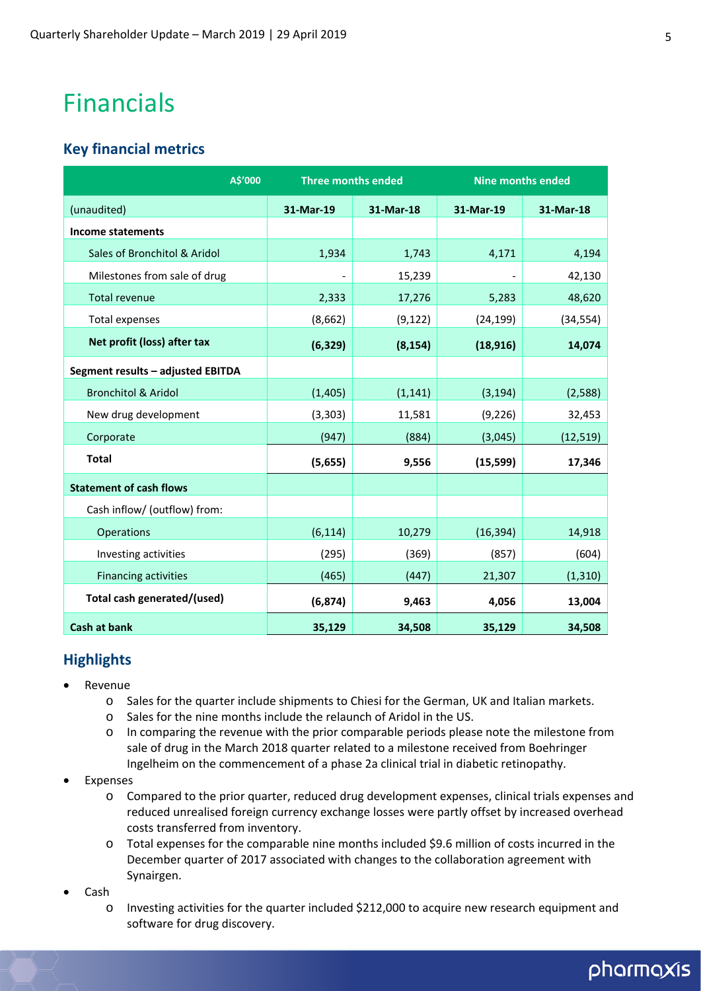# Financials

### **Key financial metrics**

| A\$'000                           | <b>Three months ended</b> |          | <b>Nine months ended</b> |           |  |
|-----------------------------------|---------------------------|----------|--------------------------|-----------|--|
| (unaudited)                       | 31-Mar-19<br>31-Mar-18    |          | 31-Mar-19                | 31-Mar-18 |  |
| <b>Income statements</b>          |                           |          |                          |           |  |
| Sales of Bronchitol & Aridol      | 1,934                     | 1,743    | 4,171                    | 4,194     |  |
| Milestones from sale of drug      |                           | 15,239   |                          | 42,130    |  |
| <b>Total revenue</b>              | 2,333                     | 17,276   | 5,283                    | 48,620    |  |
| Total expenses                    | (8,662)                   | (9, 122) | (24, 199)                | (34, 554) |  |
| Net profit (loss) after tax       | (6, 329)                  | (8, 154) | (18, 916)                | 14,074    |  |
| Segment results - adjusted EBITDA |                           |          |                          |           |  |
| <b>Bronchitol &amp; Aridol</b>    | (1, 405)                  | (1, 141) | (3, 194)                 | (2,588)   |  |
| New drug development              | (3, 303)                  | 11,581   | (9, 226)                 | 32,453    |  |
| Corporate                         | (947)                     | (884)    | (3,045)                  | (12, 519) |  |
| <b>Total</b>                      | (5,655)                   | 9,556    | (15, 599)                | 17,346    |  |
| <b>Statement of cash flows</b>    |                           |          |                          |           |  |
| Cash inflow/ (outflow) from:      |                           |          |                          |           |  |
| Operations                        | (6, 114)                  | 10,279   | (16, 394)                | 14,918    |  |
| Investing activities              | (295)                     | (369)    | (857)                    | (604)     |  |
| <b>Financing activities</b>       | (465)                     | (447)    | 21,307                   | (1, 310)  |  |
| Total cash generated/(used)       | (6, 874)                  | 9,463    | 4,056                    | 13,004    |  |
| <b>Cash at bank</b>               | 35,129                    | 34,508   | 35,129                   | 34,508    |  |

### **Highlights**

- Revenue
	- o Sales for the quarter include shipments to Chiesi for the German, UK and Italian markets.
	- o Sales for the nine months include the relaunch of Aridol in the US.
	- o In comparing the revenue with the prior comparable periods please note the milestone from sale of drug in the March 2018 quarter related to a milestone received from Boehringer Ingelheim on the commencement of a phase 2a clinical trial in diabetic retinopathy.
- Expenses
	- o Compared to the prior quarter, reduced drug development expenses, clinical trials expenses and reduced unrealised foreign currency exchange losses were partly offset by increased overhead costs transferred from inventory.
	- o Total expenses for the comparable nine months included \$9.6 million of costs incurred in the December quarter of 2017 associated with changes to the collaboration agreement with Synairgen.
- Cash
	- o Investing activities for the quarter included \$212,000 to acquire new research equipment and software for drug discovery.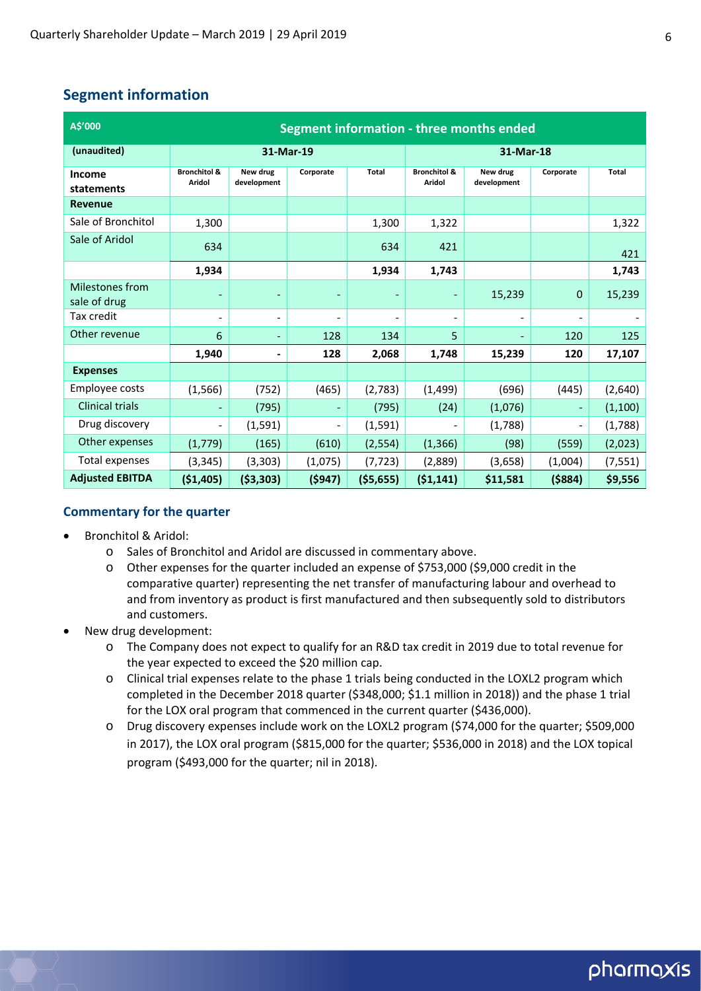### **Segment information**

| A\$'000                         | Segment information - three months ended |                          |                          |                          |                                   |                          |                          |          |
|---------------------------------|------------------------------------------|--------------------------|--------------------------|--------------------------|-----------------------------------|--------------------------|--------------------------|----------|
| (unaudited)                     | 31-Mar-19                                |                          |                          | 31-Mar-18                |                                   |                          |                          |          |
| <b>Income</b><br>statements     | <b>Bronchitol &amp;</b><br><b>Aridol</b> | New drug<br>development  | Corporate                | <b>Total</b>             | <b>Bronchitol &amp;</b><br>Aridol | New drug<br>development  | Corporate                | Total    |
| Revenue                         |                                          |                          |                          |                          |                                   |                          |                          |          |
| Sale of Bronchitol              | 1,300                                    |                          |                          | 1,300                    | 1,322                             |                          |                          | 1,322    |
| Sale of Aridol                  | 634                                      |                          |                          | 634                      | 421                               |                          |                          | 421      |
|                                 | 1,934                                    |                          |                          | 1,934                    | 1,743                             |                          |                          | 1,743    |
| Milestones from<br>sale of drug |                                          |                          |                          |                          | ۰                                 | 15,239                   | 0                        | 15,239   |
| Tax credit                      | $\overline{\phantom{a}}$                 | $\overline{\phantom{a}}$ | $\overline{\phantom{a}}$ | $\overline{\phantom{a}}$ | $\qquad \qquad \blacksquare$      | $\overline{\phantom{a}}$ | $\overline{\phantom{a}}$ |          |
| Other revenue                   | 6                                        | $\overline{\phantom{a}}$ | 128                      | 134                      | 5                                 |                          | 120                      | 125      |
|                                 | 1,940                                    | $\blacksquare$           | 128                      | 2,068                    | 1,748                             | 15,239                   | 120                      | 17,107   |
| <b>Expenses</b>                 |                                          |                          |                          |                          |                                   |                          |                          |          |
| Employee costs                  | (1, 566)                                 | (752)                    | (465)                    | (2,783)                  | (1, 499)                          | (696)                    | (445)                    | (2,640)  |
| <b>Clinical trials</b>          | ٠                                        | (795)                    |                          | (795)                    | (24)                              | (1,076)                  | ٠                        | (1, 100) |
| Drug discovery                  | $\overline{\phantom{0}}$                 | (1, 591)                 | $\overline{\phantom{a}}$ | (1,591)                  |                                   | (1,788)                  | $\overline{\phantom{a}}$ | (1,788)  |
| Other expenses                  | (1,779)                                  | (165)                    | (610)                    | (2, 554)                 | (1, 366)                          | (98)                     | (559)                    | (2,023)  |
| Total expenses                  | (3, 345)                                 | (3, 303)                 | (1,075)                  | (7, 723)                 | (2,889)                           | (3,658)                  | (1,004)                  | (7, 551) |
| <b>Adjusted EBITDA</b>          | (\$1,405)                                | ( \$3,303)               | (5947)                   | ( \$5,655)               | (51, 141)                         | \$11,581                 | ( \$884)                 | \$9,556  |

#### **Commentary for the quarter**

- Bronchitol & Aridol:
	- o Sales of Bronchitol and Aridol are discussed in commentary above.
	- o Other expenses for the quarter included an expense of \$753,000 (\$9,000 credit in the comparative quarter) representing the net transfer of manufacturing labour and overhead to and from inventory as product is first manufactured and then subsequently sold to distributors and customers.
- New drug development:
	- o The Company does not expect to qualify for an R&D tax credit in 2019 due to total revenue for the year expected to exceed the \$20 million cap.
	- o Clinical trial expenses relate to the phase 1 trials being conducted in the LOXL2 program which completed in the December 2018 quarter (\$348,000; \$1.1 million in 2018)) and the phase 1 trial for the LOX oral program that commenced in the current quarter (\$436,000).
	- o Drug discovery expenses include work on the LOXL2 program (\$74,000 for the quarter; \$509,000 in 2017), the LOX oral program (\$815,000 for the quarter; \$536,000 in 2018) and the LOX topical program (\$493,000 for the quarter; nil in 2018).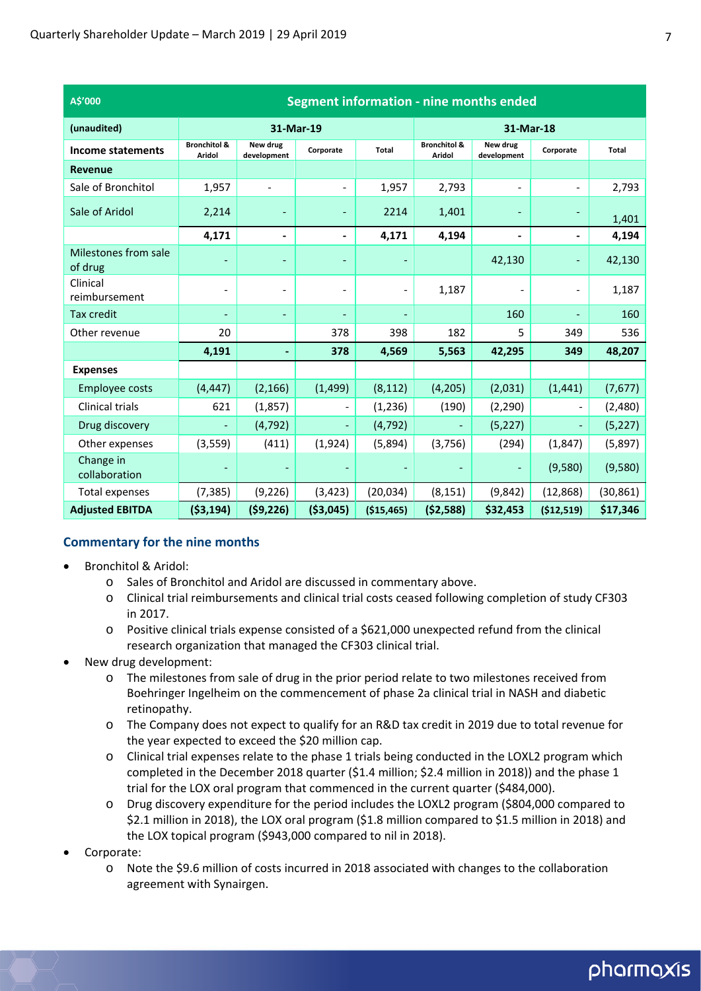| A\$'000                         | Segment information - nine months ended |                          |                          |             |                                   |                          |                          |           |
|---------------------------------|-----------------------------------------|--------------------------|--------------------------|-------------|-----------------------------------|--------------------------|--------------------------|-----------|
| (unaudited)                     | 31-Mar-19                               |                          |                          | 31-Mar-18   |                                   |                          |                          |           |
| Income statements               | <b>Bronchitol &amp;</b><br>Aridol       | New drug<br>development  | Corporate                | Total       | <b>Bronchitol &amp;</b><br>Aridol | New drug<br>development  | Corporate                | Total     |
| <b>Revenue</b>                  |                                         |                          |                          |             |                                   |                          |                          |           |
| Sale of Bronchitol              | 1,957                                   | $\overline{\phantom{a}}$ | $\overline{\phantom{a}}$ | 1,957       | 2,793                             | $\overline{\phantom{a}}$ | $\overline{\phantom{0}}$ | 2,793     |
| Sale of Aridol                  | 2,214                                   |                          | $\overline{\phantom{a}}$ | 2214        | 1,401                             |                          |                          | 1,401     |
|                                 | 4,171                                   | $\blacksquare$           | $\overline{\phantom{0}}$ | 4,171       | 4,194                             | $\overline{\phantom{0}}$ | ٠                        | 4,194     |
| Milestones from sale<br>of drug |                                         | $\overline{\phantom{a}}$ |                          |             |                                   | 42,130                   |                          | 42,130    |
| Clinical<br>reimbursement       |                                         | $\qquad \qquad -$        | $\overline{\phantom{a}}$ |             | 1,187                             |                          | $\overline{\phantom{0}}$ | 1,187     |
| Tax credit                      |                                         | ٠                        | $\overline{\phantom{a}}$ |             |                                   | 160                      | ٠                        | 160       |
| Other revenue                   | 20                                      |                          | 378                      | 398         | 182                               | 5                        | 349                      | 536       |
|                                 | 4,191                                   |                          | 378                      | 4,569       | 5,563                             | 42,295                   | 349                      | 48,207    |
| <b>Expenses</b>                 |                                         |                          |                          |             |                                   |                          |                          |           |
| <b>Employee costs</b>           | (4, 447)                                | (2, 166)                 | (1, 499)                 | (8, 112)    | (4, 205)                          | (2,031)                  | (1, 441)                 | (7,677)   |
| <b>Clinical trials</b>          | 621                                     | (1,857)                  | $\overline{\phantom{a}}$ | (1, 236)    | (190)                             | (2, 290)                 | $\overline{\phantom{0}}$ | (2,480)   |
| Drug discovery                  |                                         | (4, 792)                 | $\overline{\phantom{a}}$ | (4, 792)    |                                   | (5, 227)                 | $\overline{\phantom{a}}$ | (5, 227)  |
| Other expenses                  | (3, 559)                                | (411)                    | (1,924)                  | (5,894)     | (3,756)                           | (294)                    | (1,847)                  | (5,897)   |
| Change in<br>collaboration      |                                         |                          |                          |             |                                   | $\overline{\phantom{a}}$ | (9,580)                  | (9,580)   |
| <b>Total expenses</b>           | (7, 385)                                | (9, 226)                 | (3, 423)                 | (20, 034)   | (8, 151)                          | (9,842)                  | (12, 868)                | (30, 861) |
| <b>Adjusted EBITDA</b>          | ( \$3,194)                              | (59, 226)                | ( \$3,045)               | ( \$15,465) | (52, 588)                         | \$32,453                 | (\$12,519)               | \$17,346  |

### **Commentary for the nine months**

- Bronchitol & Aridol:
	- o Sales of Bronchitol and Aridol are discussed in commentary above.
	- o Clinical trial reimbursements and clinical trial costs ceased following completion of study CF303 in 2017.
	- o Positive clinical trials expense consisted of a \$621,000 unexpected refund from the clinical research organization that managed the CF303 clinical trial.
- New drug development:
	- o The milestones from sale of drug in the prior period relate to two milestones received from Boehringer Ingelheim on the commencement of phase 2a clinical trial in NASH and diabetic retinopathy.
	- o The Company does not expect to qualify for an R&D tax credit in 2019 due to total revenue for the year expected to exceed the \$20 million cap.
	- o Clinical trial expenses relate to the phase 1 trials being conducted in the LOXL2 program which completed in the December 2018 quarter (\$1.4 million; \$2.4 million in 2018)) and the phase 1 trial for the LOX oral program that commenced in the current quarter (\$484,000).
	- o Drug discovery expenditure for the period includes the LOXL2 program (\$804,000 compared to \$2.1 million in 2018), the LOX oral program (\$1.8 million compared to \$1.5 million in 2018) and the LOX topical program (\$943,000 compared to nil in 2018).
- Corporate:
	- o Note the \$9.6 million of costs incurred in 2018 associated with changes to the collaboration agreement with Synairgen.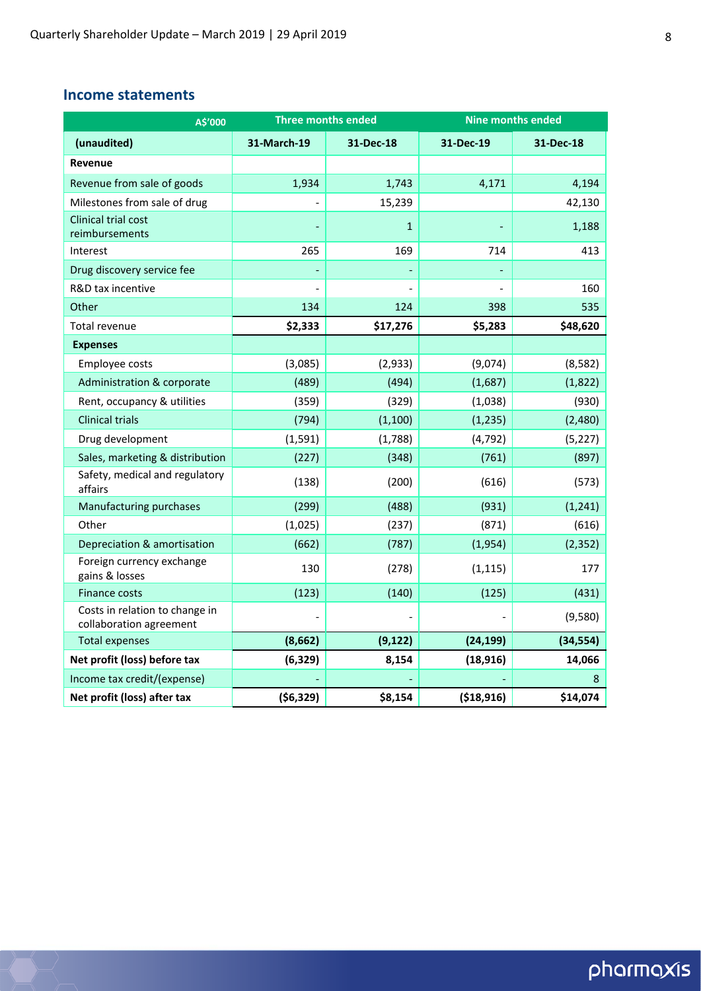### **Income statements**

| A\$'000                                                   | <b>Three months ended</b> |              | <b>Nine months ended</b> |           |  |
|-----------------------------------------------------------|---------------------------|--------------|--------------------------|-----------|--|
| (unaudited)                                               | 31-March-19               | 31-Dec-18    | 31-Dec-19                | 31-Dec-18 |  |
| Revenue                                                   |                           |              |                          |           |  |
| Revenue from sale of goods                                | 1,934                     | 1,743        | 4,171                    | 4,194     |  |
| Milestones from sale of drug                              |                           | 15,239       |                          | 42,130    |  |
| Clinical trial cost<br>reimbursements                     |                           | $\mathbf{1}$ |                          | 1,188     |  |
| Interest                                                  | 265                       | 169          | 714                      | 413       |  |
| Drug discovery service fee                                |                           |              |                          |           |  |
| R&D tax incentive                                         |                           |              |                          | 160       |  |
| Other                                                     | 134                       | 124          | 398                      | 535       |  |
| Total revenue                                             | \$2,333                   | \$17,276     | \$5,283                  | \$48,620  |  |
| <b>Expenses</b>                                           |                           |              |                          |           |  |
| Employee costs                                            | (3,085)                   | (2,933)      | (9,074)                  | (8, 582)  |  |
| Administration & corporate                                | (489)                     | (494)        | (1,687)                  | (1,822)   |  |
| Rent, occupancy & utilities                               | (359)                     | (329)        | (1,038)                  | (930)     |  |
| <b>Clinical trials</b>                                    | (794)                     | (1, 100)     | (1, 235)                 | (2,480)   |  |
| Drug development                                          | (1, 591)                  | (1,788)      | (4, 792)                 | (5, 227)  |  |
| Sales, marketing & distribution                           | (227)                     | (348)        | (761)                    | (897)     |  |
| Safety, medical and regulatory<br>affairs                 | (138)                     | (200)        | (616)                    | (573)     |  |
| Manufacturing purchases                                   | (299)                     | (488)        | (931)                    | (1, 241)  |  |
| Other                                                     | (1,025)                   | (237)        | (871)                    | (616)     |  |
| Depreciation & amortisation                               | (662)                     | (787)        | (1,954)                  | (2, 352)  |  |
| Foreign currency exchange<br>gains & losses               | 130                       | (278)        | (1, 115)                 | 177       |  |
| <b>Finance costs</b>                                      | (123)                     | (140)        | (125)                    | (431)     |  |
| Costs in relation to change in<br>collaboration agreement |                           |              |                          | (9,580)   |  |
| <b>Total expenses</b>                                     | (8,662)                   | (9, 122)     | (24, 199)                | (34, 554) |  |
| Net profit (loss) before tax                              | (6, 329)                  | 8,154        | (18, 916)                | 14,066    |  |
| Income tax credit/(expense)                               |                           |              |                          | 8         |  |
| Net profit (loss) after tax                               | ( \$6,329)                | \$8,154      | (\$18,916)               | \$14,074  |  |